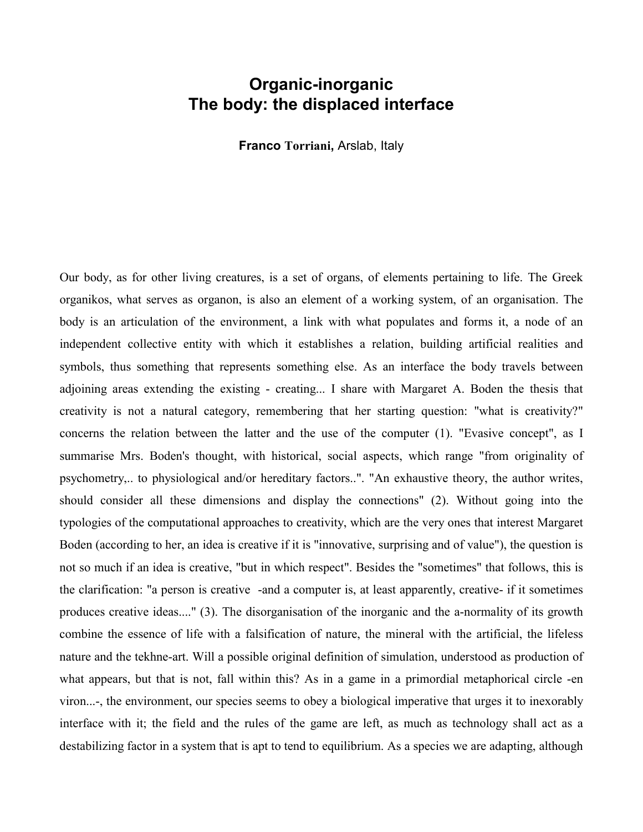## **Organic-inorganic The body: the displaced interface**

**Franco Torriani,** Arslab, Italy

Our body, as for other living creatures, is a set of organs, of elements pertaining to life. The Greek organikos, what serves as organon, is also an element of a working system, of an organisation. The body is an articulation of the environment, a link with what populates and forms it, a node of an independent collective entity with which it establishes a relation, building artificial realities and symbols, thus something that represents something else. As an interface the body travels between adjoining areas extending the existing - creating... I share with Margaret A. Boden the thesis that creativity is not a natural category, remembering that her starting question: "what is creativity?" concerns the relation between the latter and the use of the computer (1). "Evasive concept", as I summarise Mrs. Boden's thought, with historical, social aspects, which range "from originality of psychometry,.. to physiological and/or hereditary factors..". "An exhaustive theory, the author writes, should consider all these dimensions and display the connections" (2). Without going into the typologies of the computational approaches to creativity, which are the very ones that interest Margaret Boden (according to her, an idea is creative if it is "innovative, surprising and of value"), the question is not so much if an idea is creative, "but in which respect". Besides the "sometimes" that follows, this is the clarification: "a person is creative -and a computer is, at least apparently, creative- if it sometimes produces creative ideas...." (3). The disorganisation of the inorganic and the a-normality of its growth combine the essence of life with a falsification of nature, the mineral with the artificial, the lifeless nature and the tekhne-art. Will a possible original definition of simulation, understood as production of what appears, but that is not, fall within this? As in a game in a primordial metaphorical circle -en viron...-, the environment, our species seems to obey a biological imperative that urges it to inexorably interface with it; the field and the rules of the game are left, as much as technology shall act as a destabilizing factor in a system that is apt to tend to equilibrium. As a species we are adapting, although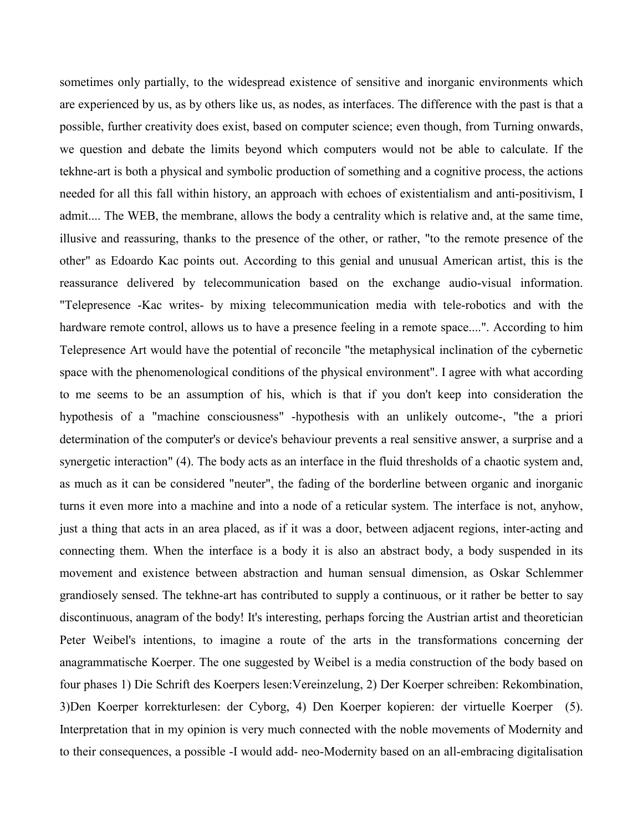sometimes only partially, to the widespread existence of sensitive and inorganic environments which are experienced by us, as by others like us, as nodes, as interfaces. The difference with the past is that a possible, further creativity does exist, based on computer science; even though, from Turning onwards, we question and debate the limits beyond which computers would not be able to calculate. If the tekhne-art is both a physical and symbolic production of something and a cognitive process, the actions needed for all this fall within history, an approach with echoes of existentialism and anti-positivism, I admit.... The WEB, the membrane, allows the body a centrality which is relative and, at the same time, illusive and reassuring, thanks to the presence of the other, or rather, "to the remote presence of the other" as Edoardo Kac points out. According to this genial and unusual American artist, this is the reassurance delivered by telecommunication based on the exchange audio-visual information. "Telepresence -Kac writes- by mixing telecommunication media with tele-robotics and with the hardware remote control, allows us to have a presence feeling in a remote space....". According to him Telepresence Art would have the potential of reconcile "the metaphysical inclination of the cybernetic space with the phenomenological conditions of the physical environment". I agree with what according to me seems to be an assumption of his, which is that if you don't keep into consideration the hypothesis of a "machine consciousness" -hypothesis with an unlikely outcome-, "the a priori determination of the computer's or device's behaviour prevents a real sensitive answer, a surprise and a synergetic interaction" (4). The body acts as an interface in the fluid thresholds of a chaotic system and, as much as it can be considered "neuter", the fading of the borderline between organic and inorganic turns it even more into a machine and into a node of a reticular system. The interface is not, anyhow, just a thing that acts in an area placed, as if it was a door, between adjacent regions, inter-acting and connecting them. When the interface is a body it is also an abstract body, a body suspended in its movement and existence between abstraction and human sensual dimension, as Oskar Schlemmer grandiosely sensed. The tekhne-art has contributed to supply a continuous, or it rather be better to say discontinuous, anagram of the body! It's interesting, perhaps forcing the Austrian artist and theoretician Peter Weibel's intentions, to imagine a route of the arts in the transformations concerning der anagrammatische Koerper. The one suggested by Weibel is a media construction of the body based on four phases 1) Die Schrift des Koerpers lesen:Vereinzelung, 2) Der Koerper schreiben: Rekombination, 3)Den Koerper korrekturlesen: der Cyborg, 4) Den Koerper kopieren: der virtuelle Koerper (5). Interpretation that in my opinion is very much connected with the noble movements of Modernity and to their consequences, a possible -I would add- neo-Modernity based on an all-embracing digitalisation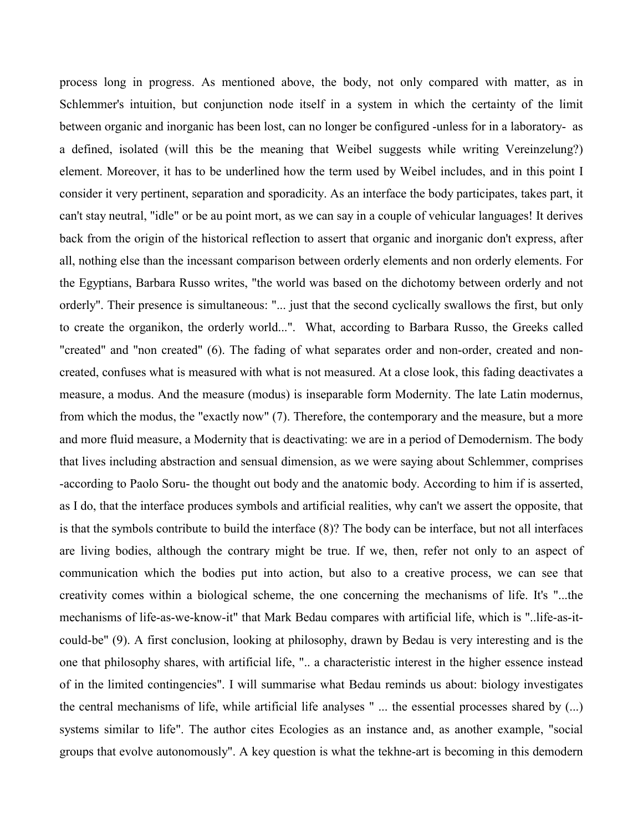process long in progress. As mentioned above, the body, not only compared with matter, as in Schlemmer's intuition, but conjunction node itself in a system in which the certainty of the limit between organic and inorganic has been lost, can no longer be configured -unless for in a laboratory- as a defined, isolated (will this be the meaning that Weibel suggests while writing Vereinzelung?) element. Moreover, it has to be underlined how the term used by Weibel includes, and in this point I consider it very pertinent, separation and sporadicity. As an interface the body participates, takes part, it can't stay neutral, "idle" or be au point mort, as we can say in a couple of vehicular languages! It derives back from the origin of the historical reflection to assert that organic and inorganic don't express, after all, nothing else than the incessant comparison between orderly elements and non orderly elements. For the Egyptians, Barbara Russo writes, "the world was based on the dichotomy between orderly and not orderly". Their presence is simultaneous: "... just that the second cyclically swallows the first, but only to create the organikon, the orderly world...". What, according to Barbara Russo, the Greeks called "created" and "non created" (6). The fading of what separates order and non-order, created and noncreated, confuses what is measured with what is not measured. At a close look, this fading deactivates a measure, a modus. And the measure (modus) is inseparable form Modernity. The late Latin modernus, from which the modus, the "exactly now" (7). Therefore, the contemporary and the measure, but a more and more fluid measure, a Modernity that is deactivating: we are in a period of Demodernism. The body that lives including abstraction and sensual dimension, as we were saying about Schlemmer, comprises -according to Paolo Soru- the thought out body and the anatomic body. According to him if is asserted, as I do, that the interface produces symbols and artificial realities, why can't we assert the opposite, that is that the symbols contribute to build the interface (8)? The body can be interface, but not all interfaces are living bodies, although the contrary might be true. If we, then, refer not only to an aspect of communication which the bodies put into action, but also to a creative process, we can see that creativity comes within a biological scheme, the one concerning the mechanisms of life. It's "...the mechanisms of life-as-we-know-it" that Mark Bedau compares with artificial life, which is "..life-as-itcould-be" (9). A first conclusion, looking at philosophy, drawn by Bedau is very interesting and is the one that philosophy shares, with artificial life, ".. a characteristic interest in the higher essence instead of in the limited contingencies". I will summarise what Bedau reminds us about: biology investigates the central mechanisms of life, while artificial life analyses " ... the essential processes shared by (...) systems similar to life". The author cites Ecologies as an instance and, as another example, "social groups that evolve autonomously". A key question is what the tekhne-art is becoming in this demodern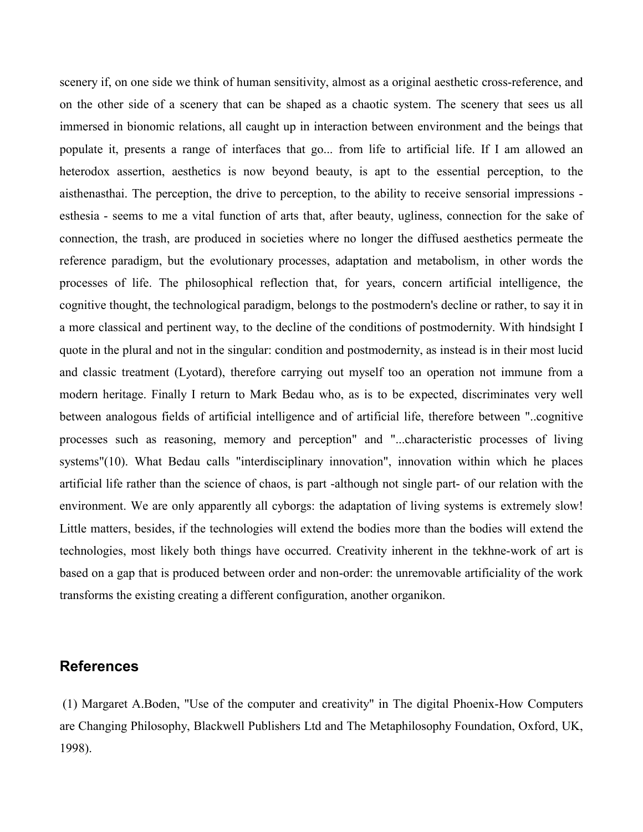scenery if, on one side we think of human sensitivity, almost as a original aesthetic cross-reference, and on the other side of a scenery that can be shaped as a chaotic system. The scenery that sees us all immersed in bionomic relations, all caught up in interaction between environment and the beings that populate it, presents a range of interfaces that go... from life to artificial life. If I am allowed an heterodox assertion, aesthetics is now beyond beauty, is apt to the essential perception, to the aisthenasthai. The perception, the drive to perception, to the ability to receive sensorial impressions esthesia - seems to me a vital function of arts that, after beauty, ugliness, connection for the sake of connection, the trash, are produced in societies where no longer the diffused aesthetics permeate the reference paradigm, but the evolutionary processes, adaptation and metabolism, in other words the processes of life. The philosophical reflection that, for years, concern artificial intelligence, the cognitive thought, the technological paradigm, belongs to the postmodern's decline or rather, to say it in a more classical and pertinent way, to the decline of the conditions of postmodernity. With hindsight I quote in the plural and not in the singular: condition and postmodernity, as instead is in their most lucid and classic treatment (Lyotard), therefore carrying out myself too an operation not immune from a modern heritage. Finally I return to Mark Bedau who, as is to be expected, discriminates very well between analogous fields of artificial intelligence and of artificial life, therefore between "..cognitive processes such as reasoning, memory and perception" and "...characteristic processes of living systems"(10). What Bedau calls "interdisciplinary innovation", innovation within which he places artificial life rather than the science of chaos, is part -although not single part- of our relation with the environment. We are only apparently all cyborgs: the adaptation of living systems is extremely slow! Little matters, besides, if the technologies will extend the bodies more than the bodies will extend the technologies, most likely both things have occurred. Creativity inherent in the tekhne-work of art is based on a gap that is produced between order and non-order: the unremovable artificiality of the work transforms the existing creating a different configuration, another organikon.

## **References**

 (1) Margaret A.Boden, "Use of the computer and creativity" in The digital Phoenix-How Computers are Changing Philosophy, Blackwell Publishers Ltd and The Metaphilosophy Foundation, Oxford, UK, 1998).